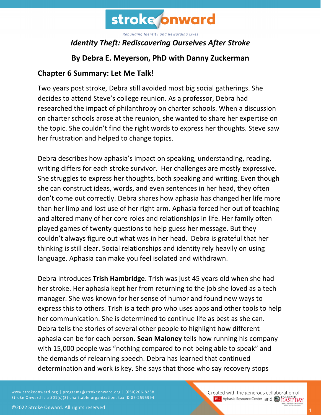

## *Identity Theft: Rediscovering Ourselves After Stroke*

## **By Debra E. Meyerson, PhD with Danny Zuckerman**

#### **Chapter 6 Summary: Let Me Talk!**

Two years post stroke, Debra still avoided most big social gatherings. She decides to attend Steve's college reunion. As a professor, Debra had researched the impact of philanthropy on charter schools. When a discussion on charter schools arose at the reunion, she wanted to share her expertise on the topic. She couldn't find the right words to express her thoughts. Steve saw her frustration and helped to change topics.

Debra describes how aphasia's impact on speaking, understanding, reading, writing differs for each stroke survivor. Her challenges are mostly expressive. She struggles to express her thoughts, both speaking and writing. Even though she can construct ideas, words, and even sentences in her head, they often don't come out correctly. Debra shares how aphasia has changed her life more than her limp and lost use of her right arm. Aphasia forced her out of teaching and altered many of her core roles and relationships in life. Her family often played games of twenty questions to help guess her message. But they couldn't always figure out what was in her head. Debra is grateful that her thinking is still clear. Social relationships and identity rely heavily on using language. Aphasia can make you feel isolated and withdrawn.

Debra introduces **Trish Hambridge**. Trish was just 45 years old when she had her stroke. Her aphasia kept her from returning to the job she loved as a tech manager. She was known for her sense of humor and found new ways to express this to others. Trish is a tech pro who uses apps and other tools to help her communication. She is determined to continue life as best as she can. Debra tells the stories of several other people to highlight how different aphasia can be for each person. **Sean Maloney** tells how running his company with 15,000 people was "nothing compared to not being able to speak" and the demands of relearning speech. Debra has learned that continued determination and work is key. She says that those who say recovery stops

www.strokeonward.org | programs@strokeonward.org | (650)206-8238 Stroke Onward is a 501(c)(3) charitable organization, tax ID 86-2595994.

Created with the generous collaboration of **BU** Aphasia Resource Center and **COL STATE BAY**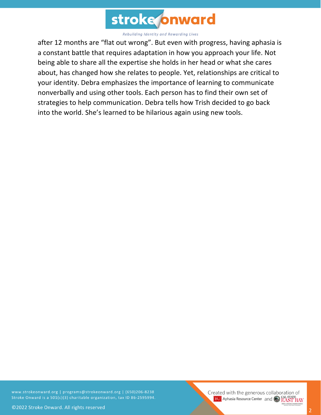

after 12 months are "flat out wrong". But even with progress, having aphasia is a constant battle that requires adaptation in how you approach your life. Not being able to share all the expertise she holds in her head or what she cares about, has changed how she relates to people. Yet, relationships are critical to your identity. Debra emphasizes the importance of learning to communicate nonverbally and using other tools. Each person has to find their own set of strategies to help communication. Debra tells how Trish decided to go back into the world. She's learned to be hilarious again using new tools.

www.strokeonward.org | programs@strokeonward.org | (650)206-8238 Stroke Onward is a 501(c)(3) charitable organization, tax ID 86-2595994.

Created with the generous collaboration of **BU** Aphasia Resource Center and **COL STATE**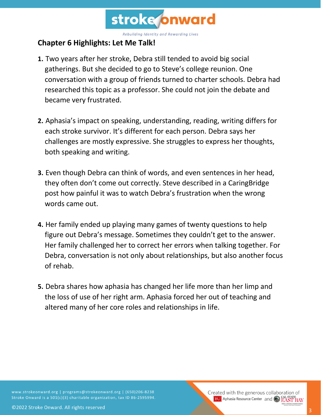

### **Chapter 6 Highlights: Let Me Talk!**

- **1.** Two years after her stroke, Debra still tended to avoid big social gatherings. But she decided to go to Steve's college reunion. One conversation with a group of friends turned to charter schools. Debra had researched this topic as a professor. She could not join the debate and became very frustrated.
- **2.** Aphasia's impact on speaking, understanding, reading, writing differs for each stroke survivor. It's different for each person. Debra says her challenges are mostly expressive. She struggles to express her thoughts, both speaking and writing.
- **3.** Even though Debra can think of words, and even sentences in her head, they often don't come out correctly. Steve described in a CaringBridge post how painful it was to watch Debra's frustration when the wrong words came out.
- **4.** Her family ended up playing many games of twenty questions to help figure out Debra's message. Sometimes they couldn't get to the answer. Her family challenged her to correct her errors when talking together. For Debra, conversation is not only about relationships, but also another focus of rehab.
- **5.** Debra shares how aphasia has changed her life more than her limp and the loss of use of her right arm. Aphasia forced her out of teaching and altered many of her core roles and relationships in life.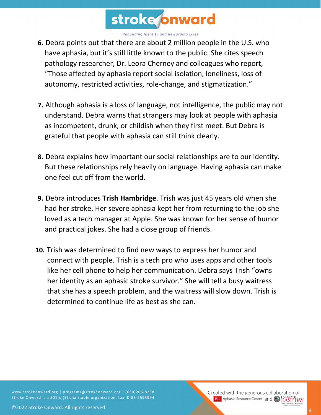

- **6.** Debra points out that there are about 2 million people in the U.S. who have aphasia, but it's still little known to the public. She cites speech pathology researcher, Dr. Leora Cherney and colleagues who report, "Those affected by aphasia report social isolation, loneliness, loss of autonomy, restricted activities, role-change, and stigmatization."
- **7.** Although aphasia is a loss of language, not intelligence, the public may not understand. Debra warns that strangers may look at people with aphasia as incompetent, drunk, or childish when they first meet. But Debra is grateful that people with aphasia can still think clearly.
- **8.** Debra explains how important our social relationships are to our identity. But these relationships rely heavily on language. Having aphasia can make one feel cut off from the world.
- **9.** Debra introduces **Trish Hambridge**. Trish was just 45 years old when she had her stroke. Her severe aphasia kept her from returning to the job she loved as a tech manager at Apple. She was known for her sense of humor and practical jokes. She had a close group of friends.
- **10.** Trish was determined to find new ways to express her humor and connect with people. Trish is a tech pro who uses apps and other tools like her cell phone to help her communication. Debra says Trish "owns her identity as an aphasic stroke survivor." She will tell a busy waitress that she has a speech problem, and the waitress will slow down. Trish is determined to continue life as best as she can.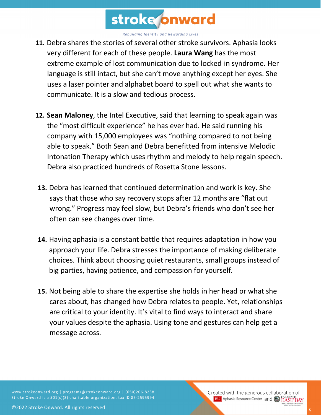

- **11.** Debra shares the stories of several other stroke survivors. Aphasia looks very different for each of these people. **Laura Wang** has the most extreme example of lost communication due to locked-in syndrome. Her language is still intact, but she can't move anything except her eyes. She uses a laser pointer and alphabet board to spell out what she wants to communicate. It is a slow and tedious process.
- **12. Sean Maloney**, the Intel Executive, said that learning to speak again was the "most difficult experience" he has ever had. He said running his company with 15,000 employees was "nothing compared to not being able to speak." Both Sean and Debra benefitted from intensive Melodic Intonation Therapy which uses rhythm and melody to help regain speech. Debra also practiced hundreds of Rosetta Stone lessons.
- **13.** Debra has learned that continued determination and work is key. She says that those who say recovery stops after 12 months are "flat out wrong." Progress may feel slow, but Debra's friends who don't see her often can see changes over time.
- **14.** Having aphasia is a constant battle that requires adaptation in how you approach your life. Debra stresses the importance of making deliberate choices. Think about choosing quiet restaurants, small groups instead of big parties, having patience, and compassion for yourself.
- **15.** Not being able to share the expertise she holds in her head or what she cares about, has changed how Debra relates to people. Yet, relationships are critical to your identity. It's vital to find ways to interact and share your values despite the aphasia. Using tone and gestures can help get a message across.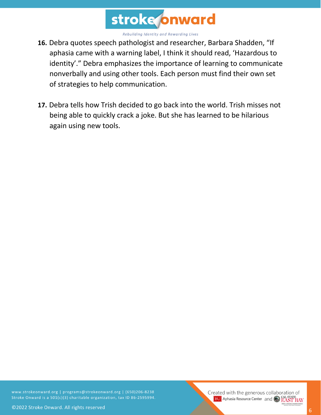

- **16.** Debra quotes speech pathologist and researcher, Barbara Shadden, "If aphasia came with a warning label, I think it should read, 'Hazardous to identity'." Debra emphasizes the importance of learning to communicate nonverbally and using other tools. Each person must find their own set of strategies to help communication.
- **17.** Debra tells how Trish decided to go back into the world. Trish misses not being able to quickly crack a joke. But she has learned to be hilarious again using new tools.

www.strokeonward.org | programs@strokeonward.org | (650)206-8238 Stroke Onward is a 501(c)(3) charitable organization, tax ID 86-2595994. Created with the generous collaboration of **BU** Aphasia Resource Center and **COL STATE**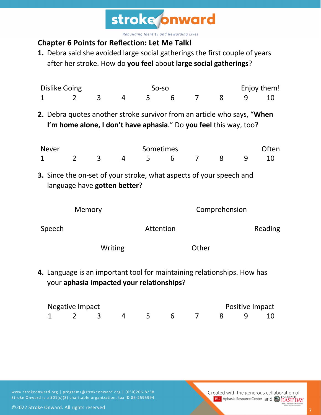

# **Chapter 6 Points for Reflection: Let Me Talk!**

**1.** Debra said she avoided large social gatherings the first couple of years after her stroke. How do **you feel** about **large social gatherings**?

| <b>Dislike Going</b>                                                                                                                  |                                                                                                                                              |                |           |                | So-so     |   |                 |         | Enjoy them! |       |  |
|---------------------------------------------------------------------------------------------------------------------------------------|----------------------------------------------------------------------------------------------------------------------------------------------|----------------|-----------|----------------|-----------|---|-----------------|---------|-------------|-------|--|
| 1                                                                                                                                     |                                                                                                                                              | $\overline{2}$ | 3         | $\overline{4}$ | 5         | 6 | $\overline{7}$  | 8       | 9           | 10    |  |
|                                                                                                                                       | 2. Debra quotes another stroke survivor from an article who says, "When<br>I'm home alone, I don't have aphasia." Do you feel this way, too? |                |           |                |           |   |                 |         |             |       |  |
|                                                                                                                                       | <b>Never</b>                                                                                                                                 |                |           |                | Sometimes |   |                 |         |             | Often |  |
| 1                                                                                                                                     |                                                                                                                                              | $\overline{2}$ | 3         | 4              | 5         | 6 | $\overline{7}$  | 8       | 9           | 10    |  |
| <b>3.</b> Since the on-set of your stroke, what aspects of your speech and<br>language have gotten better?<br>Comprehension<br>Memory |                                                                                                                                              |                |           |                |           |   |                 |         |             |       |  |
| Speech                                                                                                                                |                                                                                                                                              |                | Attention |                |           |   |                 | Reading |             |       |  |
| Writing                                                                                                                               |                                                                                                                                              |                |           | Other          |           |   |                 |         |             |       |  |
|                                                                                                                                       | 4. Language is an important tool for maintaining relationships. How has<br>your aphasia impacted your relationships?                         |                |           |                |           |   |                 |         |             |       |  |
|                                                                                                                                       | <b>Negative Impact</b>                                                                                                                       |                |           |                |           |   | Positive Impact |         |             |       |  |

1 2 3 4 5 6 7 8 9 10